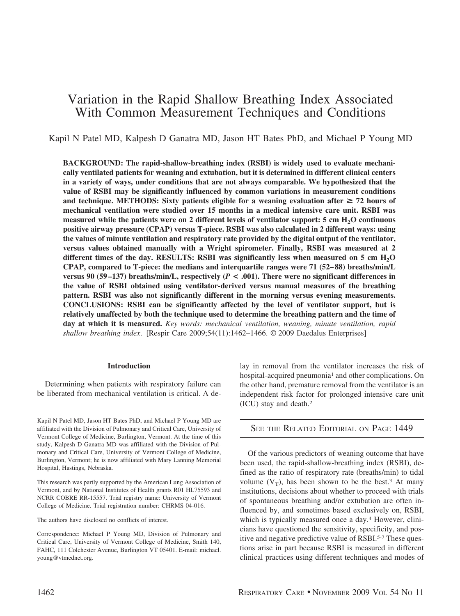# Variation in the Rapid Shallow Breathing Index Associated With Common Measurement Techniques and Conditions

Kapil N Patel MD, Kalpesh D Ganatra MD, Jason HT Bates PhD, and Michael P Young MD

**BACKGROUND: The rapid-shallow-breathing index (RSBI) is widely used to evaluate mechanically ventilated patients for weaning and extubation, but it is determined in different clinical centers in a variety of ways, under conditions that are not always comparable. We hypothesized that the value of RSBI may be significantly influenced by common variations in measurement conditions** and technique. METHODS: Sixty patients eligible for a weaning evaluation after  $\geq 72$  hours of **mechanical ventilation were studied over 15 months in a medical intensive care unit. RSBI was measured while the patients were on 2 different levels of ventilator support: 5 cm H<sub>2</sub>O continuous positive airway pressure (CPAP) versus T-piece. RSBI was also calculated in 2 different ways: using the values of minute ventilation and respiratory rate provided by the digital output of the ventilator, versus values obtained manually with a Wright spirometer. Finally, RSBI was measured at 2 different times of the day. RESULTS: RSBI was significantly less when measured on 5 cm H2O CPAP, compared to T-piece: the medians and interquartile ranges were 71 (52– 88) breaths/min/L versus 90 (59–137) breaths/min/L, respectively (** $P < .001$ **). There were no significant differences in the value of RSBI obtained using ventilator-derived versus manual measures of the breathing pattern. RSBI was also not significantly different in the morning versus evening measurements. CONCLUSIONS: RSBI can be significantly affected by the level of ventilator support, but is relatively unaffected by both the technique used to determine the breathing pattern and the time of day at which it is measured.** *Key words: mechanical ventilation, weaning, minute ventilation, rapid shallow breathing index*. [Respir Care 2009;54(11):1462–1466. © 2009 Daedalus Enterprises]

#### **Introduction**

Determining when patients with respiratory failure can be liberated from mechanical ventilation is critical. A delay in removal from the ventilator increases the risk of hospital-acquired pneumonia<sup>1</sup> and other complications. On the other hand, premature removal from the ventilator is an independent risk factor for prolonged intensive care unit (ICU) stay and death.2

## SEE THE RELATED EDITORIAL ON PAGE 1449

Of the various predictors of weaning outcome that have been used, the rapid-shallow-breathing index (RSBI), defined as the ratio of respiratory rate (breaths/min) to tidal volume  $(V_T)$ , has been shown to be the best.<sup>3</sup> At many institutions, decisions about whether to proceed with trials of spontaneous breathing and/or extubation are often influenced by, and sometimes based exclusively on, RSBI, which is typically measured once a day.<sup>4</sup> However, clinicians have questioned the sensitivity, specificity, and positive and negative predictive value of RSBI.5-7 These questions arise in part because RSBI is measured in different clinical practices using different techniques and modes of

Kapil N Patel MD, Jason HT Bates PhD, and Michael P Young MD are affiliated with the Division of Pulmonary and Critical Care, University of Vermont College of Medicine, Burlington, Vermont. At the time of this study, Kalpesh D Ganatra MD was affiliated with the Division of Pulmonary and Critical Care, University of Vermont College of Medicine, Burlington, Vermont; he is now affiliated with Mary Lanning Memorial Hospital, Hastings, Nebraska.

This research was partly supported by the American Lung Association of Vermont, and by National Institutes of Health grants R01 HL75593 and NCRR COBRE RR-15557. Trial registry name: University of Vermont College of Medicine. Trial registration number: CHRMS 04-016.

The authors have disclosed no conflicts of interest.

Correspondence: Michael P Young MD, Division of Pulmonary and Critical Care, University of Vermont College of Medicine, Smith 140, FAHC, 111 Colchester Avenue, Burlington VT 05401. E-mail: michael. young@vtmednet.org.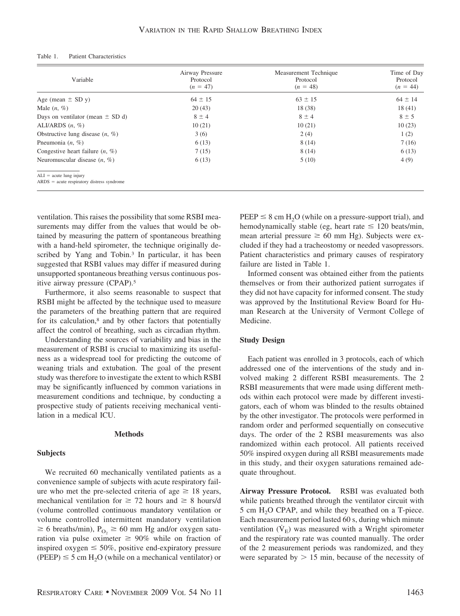#### Table 1. Patient Characteristics

| Variable                                                                  | Airway Pressure<br>Protocol<br>$(n = 47)$ | Measurement Technique<br>Protocol<br>$(n = 48)$ | Time of Day<br>Protocol<br>$(n = 44)$ |
|---------------------------------------------------------------------------|-------------------------------------------|-------------------------------------------------|---------------------------------------|
| Age (mean $\pm$ SD y)                                                     | $64 \pm 15$                               | $63 \pm 15$                                     | $64 \pm 14$                           |
| Male $(n, %)$                                                             | 20(43)                                    | 18 (38)                                         | 18(41)                                |
| Days on ventilator (mean $\pm$ SD d)                                      | $8 \pm 4$                                 | $8 \pm 4$                                       | $8 \pm 5$                             |
| ALI/ARDS $(n, %)$                                                         | 10(21)                                    | 10(21)                                          | 10(23)                                |
| Obstructive lung disease $(n, %)$                                         | 3(6)                                      | 2(4)                                            | 1(2)                                  |
| Pneumonia $(n, \%)$                                                       | 6(13)                                     | 8(14)                                           | 7(16)                                 |
| Congestive heart failure $(n, %)$                                         | 7(15)                                     | 8(14)                                           | 6(13)                                 |
| Neuromuscular disease $(n, \%)$                                           | 6(13)                                     | 5(10)                                           | 4(9)                                  |
| $ALI = acute lung injury$<br>$ARDS = acute$ respiratory distress syndrome |                                           |                                                 |                                       |

ventilation. This raises the possibility that some RSBI measurements may differ from the values that would be obtained by measuring the pattern of spontaneous breathing with a hand-held spirometer, the technique originally described by Yang and Tobin.<sup>3</sup> In particular, it has been suggested that RSBI values may differ if measured during unsupported spontaneous breathing versus continuous positive airway pressure (CPAP).5

Furthermore, it also seems reasonable to suspect that RSBI might be affected by the technique used to measure the parameters of the breathing pattern that are required for its calculation,8 and by other factors that potentially affect the control of breathing, such as circadian rhythm.

Understanding the sources of variability and bias in the measurement of RSBI is crucial to maximizing its usefulness as a widespread tool for predicting the outcome of weaning trials and extubation. The goal of the present study was therefore to investigate the extent to which RSBI may be significantly influenced by common variations in measurement conditions and technique, by conducting a prospective study of patients receiving mechanical ventilation in a medical ICU.

## **Methods**

#### **Subjects**

We recruited 60 mechanically ventilated patients as a convenience sample of subjects with acute respiratory failure who met the pre-selected criteria of age  $\geq 18$  years, mechanical ventilation for  $\geq$  72 hours and  $\geq$  8 hours/d (volume controlled continuous mandatory ventilation or volume controlled intermittent mandatory ventilation  $\geq 6$  breaths/min), P<sub>O2</sub>  $\geq 60$  mm Hg and/or oxygen saturation via pulse oximeter  $\geq 90\%$  while on fraction of inspired oxygen  $\leq 50\%$ , positive end-expiratory pressure (PEEP)  $\leq$  5 cm H<sub>2</sub>O (while on a mechanical ventilator) or

 $PEEP \leq 8$  cm H<sub>2</sub>O (while on a pressure-support trial), and hemodynamically stable (eg, heart rate  $\leq 120$  beats/min, mean arterial pressure  $\geq 60$  mm Hg). Subjects were excluded if they had a tracheostomy or needed vasopressors. Patient characteristics and primary causes of respiratory failure are listed in Table 1.

Informed consent was obtained either from the patients themselves or from their authorized patient surrogates if they did not have capacity for informed consent. The study was approved by the Institutional Review Board for Human Research at the University of Vermont College of Medicine.

## **Study Design**

Each patient was enrolled in 3 protocols, each of which addressed one of the interventions of the study and involved making 2 different RSBI measurements. The 2 RSBI measurements that were made using different methods within each protocol were made by different investigators, each of whom was blinded to the results obtained by the other investigator. The protocols were performed in random order and performed sequentially on consecutive days. The order of the 2 RSBI measurements was also randomized within each protocol. All patients received 50% inspired oxygen during all RSBI measurements made in this study, and their oxygen saturations remained adequate throughout.

**Airway Pressure Protocol.** RSBI was evaluated both while patients breathed through the ventilator circuit with 5 cm H<sub>2</sub>O CPAP, and while they breathed on a T-piece. Each measurement period lasted 60 s, during which minute ventilation  $(\dot{V}_F)$  was measured with a Wright spirometer and the respiratory rate was counted manually. The order of the 2 measurement periods was randomized, and they were separated by  $> 15$  min, because of the necessity of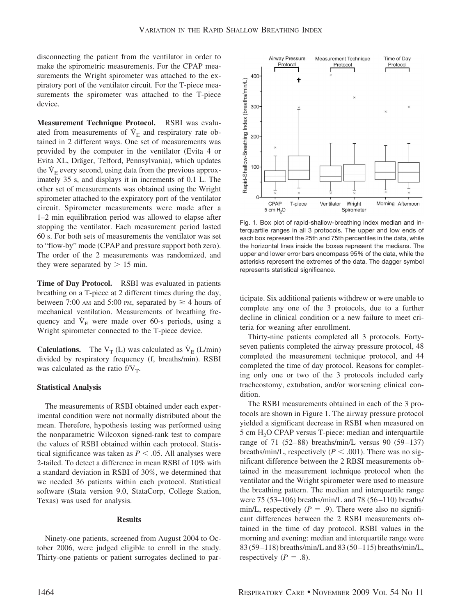disconnecting the patient from the ventilator in order to make the spirometric measurements. For the CPAP measurements the Wright spirometer was attached to the expiratory port of the ventilator circuit. For the T-piece measurements the spirometer was attached to the T-piece device.

**Measurement Technique Protocol.** RSBI was evaluated from measurements of  $\dot{V}_E$  and respiratory rate obtained in 2 different ways. One set of measurements was provided by the computer in the ventilator (Evita 4 or Evita XL, Dräger, Telford, Pennsylvania), which updates the  $V<sub>E</sub>$  every second, using data from the previous approximately 35 s, and displays it in increments of 0.1 L. The other set of measurements was obtained using the Wright spirometer attached to the expiratory port of the ventilator circuit. Spirometer measurements were made after a 1–2 min equilibration period was allowed to elapse after stopping the ventilator. Each measurement period lasted 60 s. For both sets of measurements the ventilator was set to "flow-by" mode (CPAP and pressure support both zero). The order of the 2 measurements was randomized, and they were separated by  $> 15$  min.

**Time of Day Protocol.** RSBI was evaluated in patients breathing on a T-piece at 2 different times during the day, between 7:00 AM and 5:00 PM, separated by  $\geq 4$  hours of mechanical ventilation. Measurements of breathing frequency and  $V<sub>E</sub>$  were made over 60-s periods, using a Wright spirometer connected to the T-piece device.

**Calculations.** The  $V_T(L)$  was calculated as  $\dot{V}_E(L/\text{min})$ divided by respiratory frequency (f, breaths/min). RSBI was calculated as the ratio  $f/V_T$ .

#### **Statistical Analysis**

The measurements of RSBI obtained under each experimental condition were not normally distributed about the mean. Therefore, hypothesis testing was performed using the nonparametric Wilcoxon signed-rank test to compare the values of RSBI obtained within each protocol. Statistical significance was taken as  $P \leq .05$ . All analyses were 2-tailed. To detect a difference in mean RSBI of 10% with a standard deviation in RSBI of 30%, we determined that we needed 36 patients within each protocol. Statistical software (Stata version 9.0, StataCorp, College Station, Texas) was used for analysis.

### **Results**

Ninety-one patients, screened from August 2004 to October 2006, were judged eligible to enroll in the study. Thirty-one patients or patient surrogates declined to par-



Fig. 1. Box plot of rapid-shallow-breathing index median and interquartile ranges in all 3 protocols. The upper and low ends of each box represent the 25th and 75th percentiles in the data, while the horizontal lines inside the boxes represent the medians. The upper and lower error bars encompass 95% of the data, while the asterisks represent the extremes of the data. The dagger symbol represents statistical significance.

ticipate. Six additional patients withdrew or were unable to complete any one of the 3 protocols, due to a further decline in clinical condition or a new failure to meet criteria for weaning after enrollment.

Thirty-nine patients completed all 3 protocols. Fortyseven patients completed the airway pressure protocol, 48 completed the measurement technique protocol, and 44 completed the time of day protocol. Reasons for completing only one or two of the 3 protocols included early tracheostomy, extubation, and/or worsening clinical condition.

The RSBI measurements obtained in each of the 3 protocols are shown in Figure 1. The airway pressure protocol yielded a significant decrease in RSBI when measured on 5 cm H<sub>2</sub>O CPAP versus T-piece: median and interquartile range of 71 (52–88) breaths/min/L versus 90 (59–137) breaths/min/L, respectively ( $P < .001$ ). There was no significant difference between the 2 RBSI measurements obtained in the measurement technique protocol when the ventilator and the Wright spirometer were used to measure the breathing pattern. The median and interquartile range were 75 (53–106) breaths/min/L and 78 (56–110) breaths/ min/L, respectively  $(P = .9)$ . There were also no significant differences between the 2 RSBI measurements obtained in the time of day protocol. RSBI values in the morning and evening: median and interquartile range were 83 (59–118) breaths/min/L and 83 (50–115) breaths/min/L, respectively  $(P = .8)$ .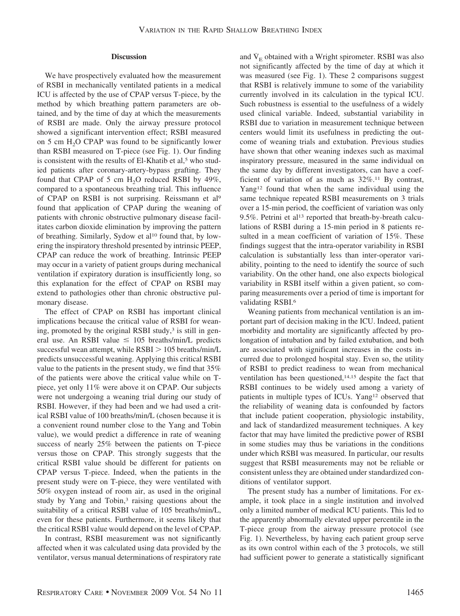#### **Discussion**

We have prospectively evaluated how the measurement of RSBI in mechanically ventilated patients in a medical ICU is affected by the use of CPAP versus T-piece, by the method by which breathing pattern parameters are obtained, and by the time of day at which the measurements of RSBI are made. Only the airway pressure protocol showed a significant intervention effect; RSBI measured on 5 cm  $H<sub>2</sub>O$  CPAP was found to be significantly lower than RSBI measured on T-piece (see Fig. 1). Our finding is consistent with the results of El-Khatib et al,<sup>5</sup> who studied patients after coronary-artery-bypass grafting. They found that CPAP of 5 cm  $H<sub>2</sub>O$  reduced RSBI by 49%, compared to a spontaneous breathing trial. This influence of CPAP on RSBI is not surprising. Reissmann et al9 found that application of CPAP during the weaning of patients with chronic obstructive pulmonary disease facilitates carbon dioxide elimination by improving the pattern of breathing. Similarly, Sydow et al<sup>10</sup> found that, by lowering the inspiratory threshold presented by intrinsic PEEP, CPAP can reduce the work of breathing. Intrinsic PEEP may occur in a variety of patient groups during mechanical ventilation if expiratory duration is insufficiently long, so this explanation for the effect of CPAP on RSBI may extend to pathologies other than chronic obstructive pulmonary disease.

The effect of CPAP on RSBI has important clinical implications because the critical value of RSBI for weaning, promoted by the original RSBI study, $3$  is still in general use. An RSBI value  $\leq 105$  breaths/min/L predicts successful wean attempt, while  $RSBI > 105$  breaths/min/L predicts unsuccessful weaning. Applying this critical RSBI value to the patients in the present study, we find that 35% of the patients were above the critical value while on Tpiece, yet only 11% were above it on CPAP. Our subjects were not undergoing a weaning trial during our study of RSBI. However, if they had been and we had used a critical RSBI value of 100 breaths/min/L (chosen because it is a convenient round number close to the Yang and Tobin value), we would predict a difference in rate of weaning success of nearly 25% between the patients on T-piece versus those on CPAP. This strongly suggests that the critical RSBI value should be different for patients on CPAP versus T-piece. Indeed, when the patients in the present study were on T-piece, they were ventilated with 50% oxygen instead of room air, as used in the original study by Yang and Tobin,<sup>3</sup> raising questions about the suitability of a critical RSBI value of 105 breaths/min/L, even for these patients. Furthermore, it seems likely that the critical RSBI value would depend on the level of CPAP.

In contrast, RSBI measurement was not significantly affected when it was calculated using data provided by the ventilator, versus manual determinations of respiratory rate and  $\dot{V}_E$  obtained with a Wright spirometer. RSBI was also not significantly affected by the time of day at which it was measured (see Fig. 1). These 2 comparisons suggest that RSBI is relatively immune to some of the variability currently involved in its calculation in the typical ICU. Such robustness is essential to the usefulness of a widely used clinical variable. Indeed, substantial variability in RSBI due to variation in measurement technique between centers would limit its usefulness in predicting the outcome of weaning trials and extubation. Previous studies have shown that other weaning indexes such as maximal inspiratory pressure, measured in the same individual on the same day by different investigators, can have a coefficient of variation of as much as  $32\%$ .<sup>11</sup> By contrast, Yang<sup>12</sup> found that when the same individual using the same technique repeated RSBI measurements on 3 trials over a 15-min period, the coefficient of variation was only 9.5%. Petrini et al<sup>13</sup> reported that breath-by-breath calculations of RSBI during a 15-min period in 8 patients resulted in a mean coefficient of variation of 15%. These findings suggest that the intra-operator variability in RSBI calculation is substantially less than inter-operator variability, pointing to the need to identify the source of such variability. On the other hand, one also expects biological variability in RSBI itself within a given patient, so comparing measurements over a period of time is important for validating RSBI.6

Weaning patients from mechanical ventilation is an important part of decision making in the ICU. Indeed, patient morbidity and mortality are significantly affected by prolongation of intubation and by failed extubation, and both are associated with significant increases in the costs incurred due to prolonged hospital stay. Even so, the utility of RSBI to predict readiness to wean from mechanical ventilation has been questioned,<sup>14,15</sup> despite the fact that RSBI continues to be widely used among a variety of patients in multiple types of ICUs. Yang<sup>12</sup> observed that the reliability of weaning data is confounded by factors that include patient cooperation, physiologic instability, and lack of standardized measurement techniques. A key factor that may have limited the predictive power of RSBI in some studies may thus be variations in the conditions under which RSBI was measured. In particular, our results suggest that RSBI measurements may not be reliable or consistent unless they are obtained under standardized conditions of ventilator support.

The present study has a number of limitations. For example, it took place in a single institution and involved only a limited number of medical ICU patients. This led to the apparently abnormally elevated upper percentile in the T-piece group from the airway pressure protocol (see Fig. 1). Nevertheless, by having each patient group serve as its own control within each of the 3 protocols, we still had sufficient power to generate a statistically significant